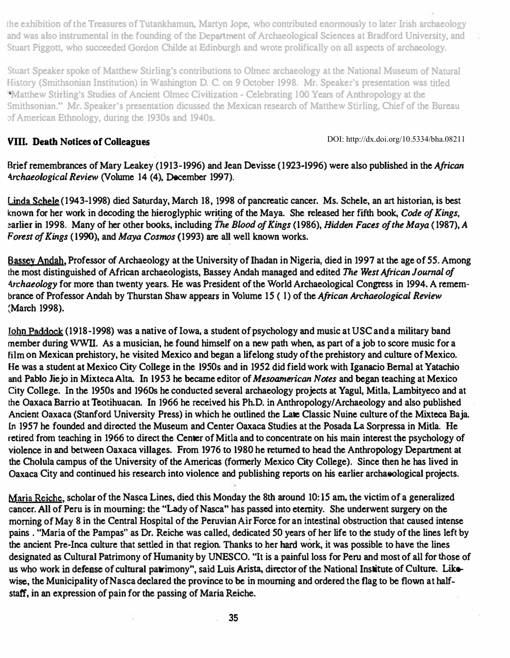the exhibition of the Treasures of Tutankhamun. Martyn Jope. who contributed enonnously to later Irish archaeology and was aJso instrumental in the founding of the Department of ArchaeologicaJ Sciences at Bradford University, and Stuart Piggott, who succeeded Gordon Childe at Edinburgh and wrote prolifically on all aspects of archaeology.

Stuart Speaker spoke of Matthew Stirling's contributions to Olmec archaeology at the National Museum of Natural History (Smithsonian Institution) in Washington D. C. on 9 October 1998. Mr. Speaker's presentation was titled " Matthew Stirling's Studies of Ancient Olmec Civilization - Celebrating 100 Years of Anthropology at the Smithsonjan." Mr. Speaker's presentation dicussed the Mexican research of Matthew Stirling, Chief of the Bureau of American Ethnology, during the 1930s and 194Os.

## VIII. Death Notices of Colleagues

DOI: http://dx.doi.org/10.5334/bha.08211

Brief remembrances of Mary Leakey (1913-1996) and Jean Devisse (1923-1996) were also published in the African 4rchaeological Review (Volume 14 (4), December 1997).

Linda Schele (1943-1998) died Saturday, March 18, 1998 of pancreatic cancer. Ms. Schele, an art historian, is best known for her work in decoding the hieroglyphic writing of the Maya. She released her fifth book, Code of Kings, earlier in 1998. Many of her other books, including The Blood of Kings (1986), Hidden Faces of the Maya (1987), A Forest of Kings (1990), and Maya Cosmos (1993) are all well known works.

Bassey Andah, Professor of Archaeology at the University of Ihadan in Nigeria, died in 1997 at the age of 55. Among the most distinguished of African archaeologists, Bassey Andah managed and edited The West African Journal of Archaeology for more than twenty years. He was President of the World Archaeological Congress in 1994. A remembrance of Professor Andah by Thurstan Shaw appears in Volume 15 ( I) of the African Archaeological Review :March 1998).

Iohn Paddock (1918-1998) was a native of Iowa, a student of psychology and music at USC and a military band member during WWII. As a musician. he found himself on a new path. when. as part of a job to score music for a film on Mexican prehistory, he visited Mexico and began a lifelong study of the prehistory and culture of Mexico. He was a student at Mexico City College in the 1950s and in 1952 did field work with Iganacio Bernal at Yatachio and Pablo Jiejo in Mixteca Alta. In 1953 he became editor of Mesoamerican Notes and began teaching at Mexico City College. In the 1950s and 1960s he conducted several archaeology projects at Yagul, Mitla, Lambityeco and at the Oaxaca Barrio at Teotihuacan. In 1966 he received his Ph.D. in Anthropology/Archaeology and also published Ancient Oaxaca (Stanford University Press) in which he outlined the Late Classic Nuine culture of the Mixteca Baja. In 1957 he founded and directed the Museum and Center Oaxaca Studies at the Posada La Sorpressa in Milla. He retired from teaching in 1966 to direct the Center of Mitla and to concentrate on his main interest the psychology of violence in and between Oaxaca villages. From 1976 to 1980 he returned to head the Anthropology Department at the Cholula campus of the University of the Americas (formerly Mexico City College). Since then he has lived in Oaxaca City and continued his research into violence and publishing reports on his earlier archaeological projects.

Maria Reiche, scholar of the Nasca Lines, died this Monday the 8th around 10:15 am, the victim of a generalized cancer. All of Peru is in mourning: the "Lady of Nasca" has passed into eternity. She underwent surgery on the morning of May 8 in the Central Hospital of the Peruvian Air Force for an intestinal obstruction that caused intense pains . "Maria of the Pampas" as Dr. Reiche was called. dedicated 50 years of her life to the study of the lines left by the ancient Pre-Inca culture that settled in that region. Thanks to her hard work, it was possible to have the lines designated as Cultural Patrimony of Humanity by UNESCO. "It is a painful loss for Peru and most of all for those of us who work in defense of cultural patrimony", said Luis Arista, director of the National Institute of Culture. Likewise, the Municipality of Nasca declared the province to be in mourning and ordered the flag to be flown at halfstaff, in an expression of pain for the passing of Maria Reiche.